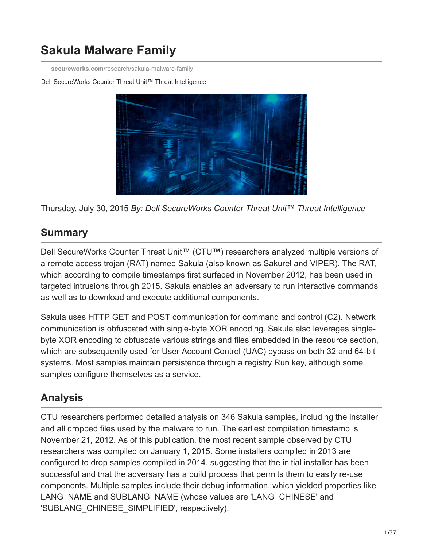# **Sakula Malware Family**

**secureworks.com**[/research/sakula-malware-family](https://www.secureworks.com/research/sakula-malware-family)

#### Dell SecureWorks Counter Threat Unit™ Threat Intelligence



Thursday, July 30, 2015 *By: Dell SecureWorks Counter Threat Unit™ Threat Intelligence*

# **Summary**

Dell SecureWorks Counter Threat Unit™ (CTU™) researchers analyzed multiple versions of a remote access trojan (RAT) named Sakula (also known as Sakurel and VIPER). The RAT, which according to compile timestamps first surfaced in November 2012, has been used in targeted intrusions through 2015. Sakula enables an adversary to run interactive commands as well as to download and execute additional components.

Sakula uses HTTP GET and POST communication for command and control (C2). Network communication is obfuscated with single-byte XOR encoding. Sakula also leverages singlebyte XOR encoding to obfuscate various strings and files embedded in the resource section, which are subsequently used for User Account Control (UAC) bypass on both 32 and 64-bit systems. Most samples maintain persistence through a registry Run key, although some samples configure themselves as a service.

# **Analysis**

CTU researchers performed detailed analysis on 346 Sakula samples, including the installer and all dropped files used by the malware to run. The earliest compilation timestamp is November 21, 2012. As of this publication, the most recent sample observed by CTU researchers was compiled on January 1, 2015. Some installers compiled in 2013 are configured to drop samples compiled in 2014, suggesting that the initial installer has been successful and that the adversary has a build process that permits them to easily re-use components. Multiple samples include their debug information, which yielded properties like LANG\_NAME and SUBLANG\_NAME (whose values are 'LANG\_CHINESE' and 'SUBLANG\_CHINESE\_SIMPLIFIED', respectively).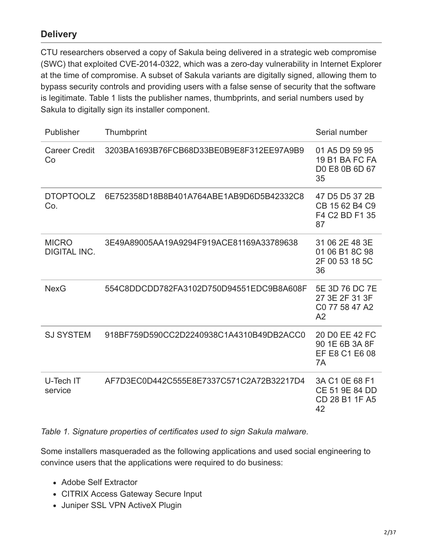### **Delivery**

CTU researchers observed a copy of Sakula being delivered in a strategic web compromise (SWC) that exploited CVE-2014-0322, which was a zero-day vulnerability in Internet Explorer at the time of compromise. A subset of Sakula variants are digitally signed, allowing them to bypass security controls and providing users with a false sense of security that the software is legitimate. Table 1 lists the publisher names, thumbprints, and serial numbers used by Sakula to digitally sign its installer component.

| Publisher                           | Thumbprint                               | Serial number                                            |
|-------------------------------------|------------------------------------------|----------------------------------------------------------|
| <b>Career Credit</b><br>Co          | 3203BA1693B76FCB68D33BE0B9E8F312EE97A9B9 | 01 A5 D9 59 95<br>19 B1 BA FC FA<br>D0 E8 0B 6D 67<br>35 |
| <b>DTOPTOOLZ</b><br>Co.             | 6E752358D18B8B401A764ABE1AB9D6D5B42332C8 | 47 D5 D5 37 2B<br>CB 15 62 B4 C9<br>F4 C2 BD F1 35<br>87 |
| <b>MICRO</b><br><b>DIGITAL INC.</b> | 3E49A89005AA19A9294F919ACE81169A33789638 | 31 06 2E 48 3E<br>01 06 B1 8C 98<br>2F 00 53 18 5C<br>36 |
| <b>NexG</b>                         | 554C8DDCDD782FA3102D750D94551EDC9B8A608F | 5E 3D 76 DC 7E<br>27 3E 2F 31 3F<br>C0 77 58 47 A2<br>A2 |
| <b>SJ SYSTEM</b>                    | 918BF759D590CC2D2240938C1A4310B49DB2ACC0 | 20 DO EE 42 FC<br>90 1E 6B 3A 8F<br>EF E8 C1 E6 08<br>7A |
| U-Tech IT<br>service                | AF7D3EC0D442C555E8E7337C571C2A72B32217D4 | 3A C1 0E 68 F1<br>CE 51 9E 84 DD<br>CD 28 B1 1F A5<br>42 |

*Table 1. Signature properties of certificates used to sign Sakula malware.*

Some installers masqueraded as the following applications and used social engineering to convince users that the applications were required to do business:

- Adobe Self Extractor
- CITRIX Access Gateway Secure Input
- Juniper SSL VPN ActiveX Plugin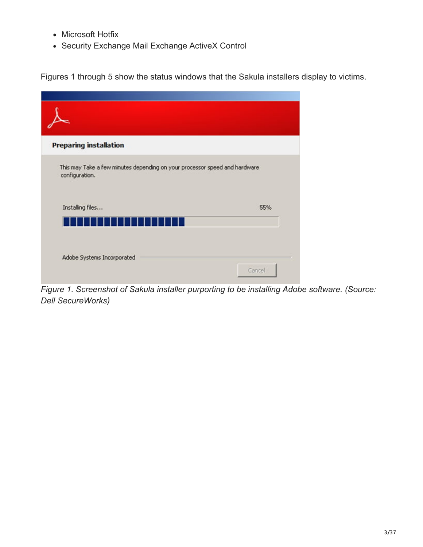- Microsoft Hotfix
- Security Exchange Mail Exchange ActiveX Control

Figures 1 through 5 show the status windows that the Sakula installers display to victims.

| <b>Preparing installation</b>                                                                |     |
|----------------------------------------------------------------------------------------------|-----|
| This may Take a few minutes depending on your processor speed and hardware<br>configuration. |     |
| Installing files                                                                             | 55% |
|                                                                                              |     |

*Figure 1. Screenshot of Sakula installer purporting to be installing Adobe software. (Source: Dell SecureWorks)*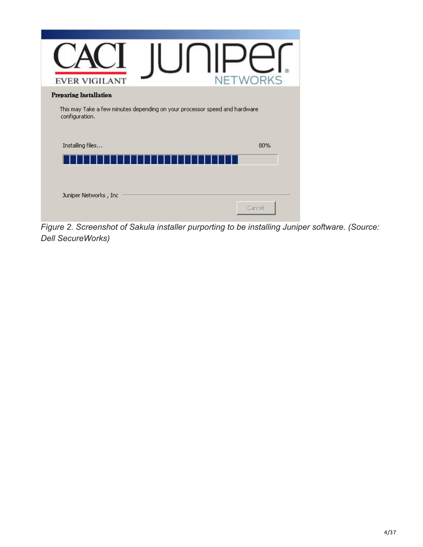| <b>EVER VIGILANT</b>                                                                         | NETWORKS |
|----------------------------------------------------------------------------------------------|----------|
| <b>Preparing Installation</b>                                                                |          |
| This may Take a few minutes depending on your processor speed and hardware<br>configuration. |          |
| Installing files                                                                             | 80%      |
|                                                                                              |          |
|                                                                                              |          |
| Juniper Networks, Inc.                                                                       |          |
|                                                                                              | Cancel   |

*Figure 2. Screenshot of Sakula installer purporting to be installing Juniper software. (Source: Dell SecureWorks)*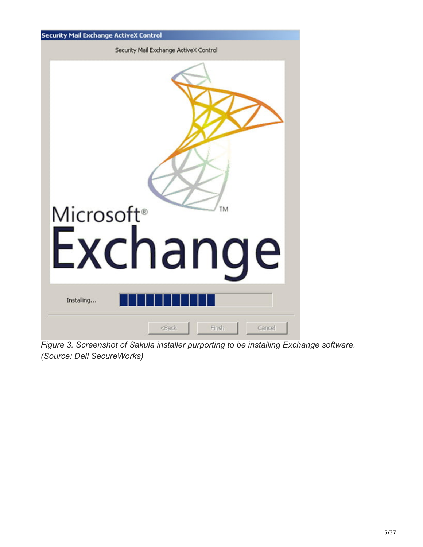

*Figure 3. Screenshot of Sakula installer purporting to be installing Exchange software. (Source: Dell SecureWorks)*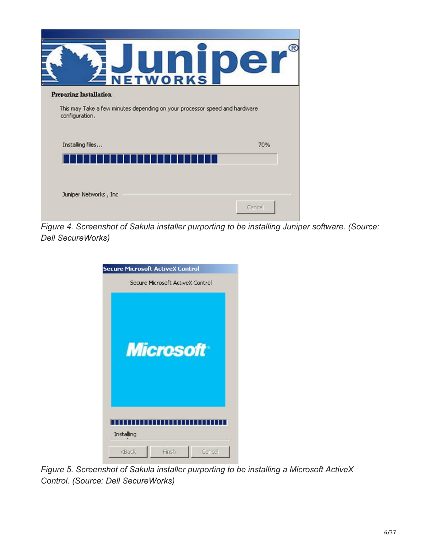| <b>NETWORKS</b>                                                            |
|----------------------------------------------------------------------------|
|                                                                            |
| This may Take a few minutes depending on your processor speed and hardware |
|                                                                            |
| 70%                                                                        |
|                                                                            |
|                                                                            |
|                                                                            |
|                                                                            |

*Figure 4. Screenshot of Sakula installer purporting to be installing Juniper software. (Source: Dell SecureWorks)*

| <b>Secure Microsoft ActiveX Control</b> |
|-----------------------------------------|
| Secure Microsoft ActiveX Control        |
| <b>Microsoft</b>                        |
| Installing                              |
| <back<br>Finsh<br/>Cancel</back<br>     |

*Figure 5. Screenshot of Sakula installer purporting to be installing a Microsoft ActiveX Control. (Source: Dell SecureWorks)*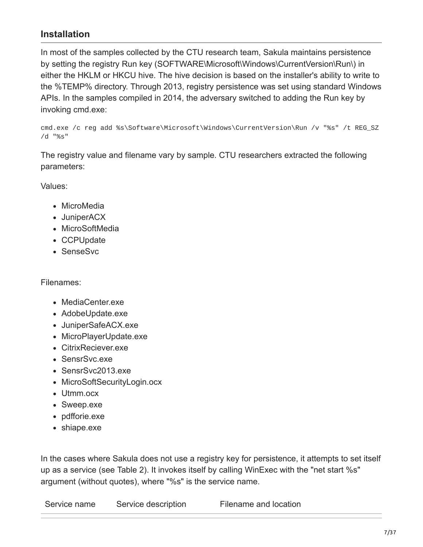### **Installation**

In most of the samples collected by the CTU research team, Sakula maintains persistence by setting the registry Run key (SOFTWARE\Microsoft\Windows\CurrentVersion\Run\) in either the HKLM or HKCU hive. The hive decision is based on the installer's ability to write to the %TEMP% directory. Through 2013, registry persistence was set using standard Windows APIs. In the samples compiled in 2014, the adversary switched to adding the Run key by invoking cmd.exe:

cmd.exe /c reg add %s\Software\Microsoft\Windows\CurrentVersion\Run /v "%s" /t REG\_SZ /d "%s"

The registry value and filename vary by sample. CTU researchers extracted the following parameters:

Values:

- MicroMedia
- JuniperACX
- MicroSoftMedia
- CCPUpdate
- SenseSvc

#### Filenames:

- MediaCenter.exe
- AdobeUpdate.exe
- JuniperSafeACX.exe
- MicroPlayerUpdate.exe
- CitrixReciever.exe
- SensrSvc.exe
- SensrSvc2013.exe
- MicroSoftSecurityLogin.ocx
- Utmm.ocx
- Sweep.exe
- pdfforie.exe
- shiape.exe

In the cases where Sakula does not use a registry key for persistence, it attempts to set itself up as a service (see Table 2). It invokes itself by calling WinExec with the "net start %s" argument (without quotes), where "%s" is the service name.

Service name Service description Filename and location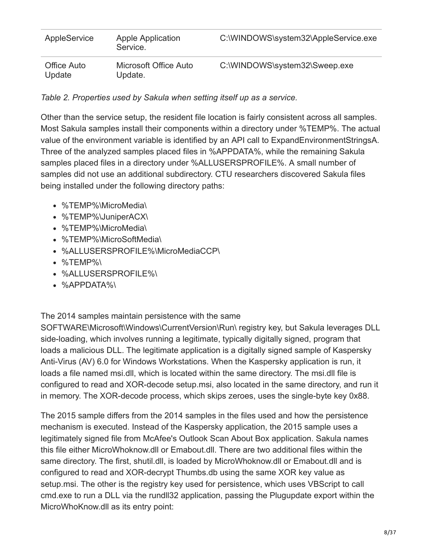| AppleService          | <b>Apple Application</b><br>Service. | C:\WINDOWS\system32\AppleService.exe |
|-----------------------|--------------------------------------|--------------------------------------|
| Office Auto<br>Update | Microsoft Office Auto<br>Update.     | C:\WINDOWS\system32\Sweep.exe        |

*Table 2. Properties used by Sakula when setting itself up as a service.*

Other than the service setup, the resident file location is fairly consistent across all samples. Most Sakula samples install their components within a directory under %TEMP%. The actual value of the environment variable is identified by an API call to ExpandEnvironmentStringsA. Three of the analyzed samples placed files in %APPDATA%, while the remaining Sakula samples placed files in a directory under %ALLUSERSPROFILE%. A small number of samples did not use an additional subdirectory. CTU researchers discovered Sakula files being installed under the following directory paths:

- %TEMP%\MicroMedia\
- %TEMP%\JuniperACX\
- %TEMP%\MicroMedia\
- %TEMP%\MicroSoftMedia\
- %ALLUSERSPROFILE%\MicroMediaCCP\
- %TEMP%\
- %ALLUSERSPROFILE%\
- %APPDATA%\

The 2014 samples maintain persistence with the same

SOFTWARE\Microsoft\Windows\CurrentVersion\Run\ registry key, but Sakula leverages DLL side-loading, which involves running a legitimate, typically digitally signed, program that loads a malicious DLL. The legitimate application is a digitally signed sample of Kaspersky Anti-Virus (AV) 6.0 for Windows Workstations. When the Kaspersky application is run, it loads a file named msi.dll, which is located within the same directory. The msi.dll file is configured to read and XOR-decode setup.msi, also located in the same directory, and run it in memory. The XOR-decode process, which skips zeroes, uses the single-byte key 0x88.

The 2015 sample differs from the 2014 samples in the files used and how the persistence mechanism is executed. Instead of the Kaspersky application, the 2015 sample uses a legitimately signed file from McAfee's Outlook Scan About Box application. Sakula names this file either MicroWhoknow.dll or Emabout.dll. There are two additional files within the same directory. The first, shutil.dll, is loaded by MicroWhoknow.dll or Emabout.dll and is configured to read and XOR-decrypt Thumbs.db using the same XOR key value as setup.msi. The other is the registry key used for persistence, which uses VBScript to call cmd.exe to run a DLL via the rundll32 application, passing the Plugupdate export within the MicroWhoKnow.dll as its entry point: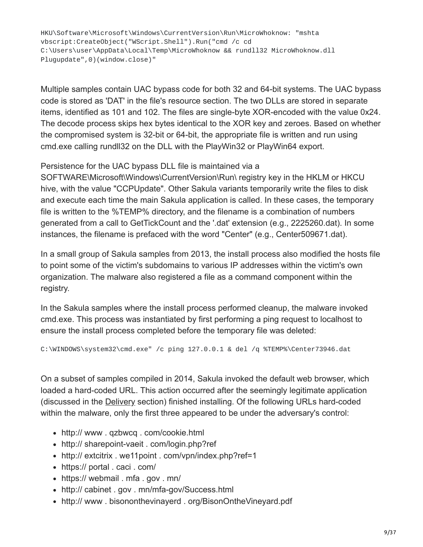HKU\Software\Microsoft\Windows\CurrentVersion\Run\MicroWhoknow: "mshta vbscript:CreateObject("WScript.Shell").Run("cmd /c cd C:\Users\user\AppData\Local\Temp\MicroWhoknow && rundll32 MicroWhoknow.dll Plugupdate",0)(window.close)"

Multiple samples contain UAC bypass code for both 32 and 64-bit systems. The UAC bypass code is stored as 'DAT' in the file's resource section. The two DLLs are stored in separate items, identified as 101 and 102. The files are single-byte XOR-encoded with the value 0x24. The decode process skips hex bytes identical to the XOR key and zeroes. Based on whether the compromised system is 32-bit or 64-bit, the appropriate file is written and run using cmd.exe calling rundll32 on the DLL with the PlayWin32 or PlayWin64 export.

Persistence for the UAC bypass DLL file is maintained via a

SOFTWARE\Microsoft\Windows\CurrentVersion\Run\ registry key in the HKLM or HKCU hive, with the value "CCPUpdate". Other Sakula variants temporarily write the files to disk and execute each time the main Sakula application is called. In these cases, the temporary file is written to the %TEMP% directory, and the filename is a combination of numbers generated from a call to GetTickCount and the '.dat' extension (e.g., 2225260.dat). In some instances, the filename is prefaced with the word "Center" (e.g., Center509671.dat).

In a small group of Sakula samples from 2013, the install process also modified the hosts file to point some of the victim's subdomains to various IP addresses within the victim's own organization. The malware also registered a file as a command component within the registry.

In the Sakula samples where the install process performed cleanup, the malware invoked cmd.exe. This process was instantiated by first performing a ping request to localhost to ensure the install process completed before the temporary file was deleted:

C:\WINDOWS\system32\cmd.exe" /c ping 127.0.0.1 & del /q %TEMP%\Center73946.dat

On a subset of samples compiled in 2014, Sakula invoked the default web browser, which loaded a hard-coded URL. This action occurred after the seemingly legitimate application (discussed in the Delivery section) finished installing. Of the following URLs hard-coded within the malware, only the first three appeared to be under the adversary's control:

- http:// www . qzbwcq . com/cookie.html
- http:// sharepoint-vaeit . com/login.php?ref
- http:// extcitrix . we11point . com/vpn/index.php?ref=1
- https:// portal . caci . com/
- https:// webmail . mfa . gov . mn/
- http:// cabinet . gov . mn/mfa-gov/Success.html
- http:// www . bisononthevinayerd . org/BisonOntheVineyard.pdf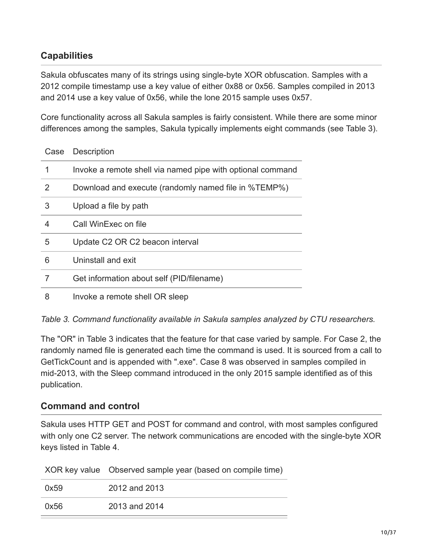# **Capabilities**

Sakula obfuscates many of its strings using single-byte XOR obfuscation. Samples with a 2012 compile timestamp use a key value of either 0x88 or 0x56. Samples compiled in 2013 and 2014 use a key value of 0x56, while the lone 2015 sample uses 0x57.

Core functionality across all Sakula samples is fairly consistent. While there are some minor differences among the samples, Sakula typically implements eight commands (see Table 3).

| Case | Description                                                |
|------|------------------------------------------------------------|
| 1    | Invoke a remote shell via named pipe with optional command |
| 2    | Download and execute (randomly named file in %TEMP%)       |
| 3    | Upload a file by path                                      |
| 4    | Call WinExec on file                                       |
| 5    | Update C2 OR C2 beacon interval                            |
| 6    | Uninstall and exit                                         |
| 7    | Get information about self (PID/filename)                  |
| 8    | Invoke a remote shell OR sleep                             |

*Table 3. Command functionality available in Sakula samples analyzed by CTU researchers.*

The "OR" in Table 3 indicates that the feature for that case varied by sample. For Case 2, the randomly named file is generated each time the command is used. It is sourced from a call to GetTickCount and is appended with ".exe". Case 8 was observed in samples compiled in mid-2013, with the Sleep command introduced in the only 2015 sample identified as of this publication.

### **Command and control**

Sakula uses HTTP GET and POST for command and control, with most samples configured with only one C2 server. The network communications are encoded with the single-byte XOR keys listed in Table 4.

XOR key value Observed sample year (based on compile time)

| 0x59 | 2012 and 2013 |
|------|---------------|
| 0x56 | 2013 and 2014 |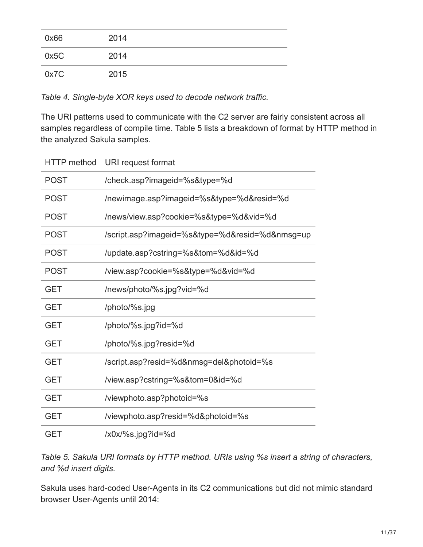| 0x66 | 2014 |
|------|------|
| 0x5C | 2014 |
| 0x7C | 2015 |

*Table 4. Single-byte XOR keys used to decode network traffic.*

The URI patterns used to communicate with the C2 server are fairly consistent across all samples regardless of compile time. Table 5 lists a breakdown of format by HTTP method in the analyzed Sakula samples.

|             | HTTP method URI request format                  |
|-------------|-------------------------------------------------|
| <b>POST</b> | /check.asp?imageid=%s&type=%d                   |
| <b>POST</b> | /newimage.asp?imageid=%s&type=%d&resid=%d       |
| <b>POST</b> | /news/view.asp?cookie=%s&type=%d&vid=%d         |
| <b>POST</b> | /script.asp?imageid=%s&type=%d&resid=%d&nmsg=up |
| <b>POST</b> | /update.asp?cstring=%s&tom=%d&id=%d             |
| <b>POST</b> | /view.asp?cookie=%s&type=%d&vid=%d              |
| <b>GET</b>  | /news/photo/%s.jpg?vid=%d                       |
| <b>GET</b>  | /photo/%s.jpg                                   |
| <b>GET</b>  | /photo/%s.jpg?id=%d                             |
| <b>GET</b>  | /photo/%s.jpg?resid=%d                          |
| <b>GET</b>  | /script.asp?resid=%d&nmsg=del&photoid=%s        |
| <b>GET</b>  | /view.asp?cstring=%s&tom=0&id=%d                |
| <b>GET</b>  | /viewphoto.asp?photoid=%s                       |
| <b>GET</b>  | /viewphoto.asp?resid=%d&photoid=%s              |
| <b>GET</b>  | /x0x/%s.jpg?id=%d                               |

*Table 5. Sakula URI formats by HTTP method. URIs using %s insert a string of characters, and %d insert digits.*

Sakula uses hard-coded User-Agents in its C2 communications but did not mimic standard browser User-Agents until 2014: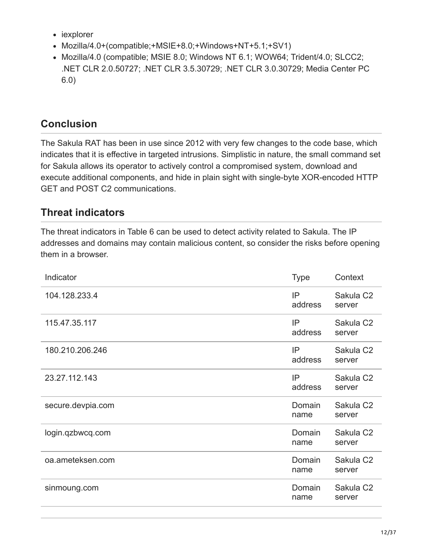- iexplorer
- Mozilla/4.0+(compatible;+MSIE+8.0;+Windows+NT+5.1;+SV1)
- Mozilla/4.0 (compatible; MSIE 8.0; Windows NT 6.1; WOW64; Trident/4.0; SLCC2; .NET CLR 2.0.50727; .NET CLR 3.5.30729; .NET CLR 3.0.30729; Media Center PC 6.0)

# **Conclusion**

The Sakula RAT has been in use since 2012 with very few changes to the code base, which indicates that it is effective in targeted intrusions. Simplistic in nature, the small command set for Sakula allows its operator to actively control a compromised system, download and execute additional components, and hide in plain sight with single-byte XOR-encoded HTTP GET and POST C2 communications.

# **Threat indicators**

The threat indicators in Table 6 can be used to detect activity related to Sakula. The IP addresses and domains may contain malicious content, so consider the risks before opening them in a browser.

| Indicator         | <b>Type</b>    | Context                         |
|-------------------|----------------|---------------------------------|
| 104.128.233.4     | IP<br>address  | Sakula C <sub>2</sub><br>server |
| 115.47.35.117     | IP<br>address  | Sakula C <sub>2</sub><br>server |
| 180.210.206.246   | IP<br>address  | Sakula C <sub>2</sub><br>server |
| 23.27.112.143     | IP<br>address  | Sakula C <sub>2</sub><br>server |
| secure.devpia.com | Domain<br>name | Sakula C <sub>2</sub><br>server |
| login.qzbwcq.com  | Domain<br>name | Sakula C <sub>2</sub><br>server |
| oa.ameteksen.com  | Domain<br>name | Sakula C <sub>2</sub><br>server |
| sinmoung.com      | Domain<br>name | Sakula C <sub>2</sub><br>server |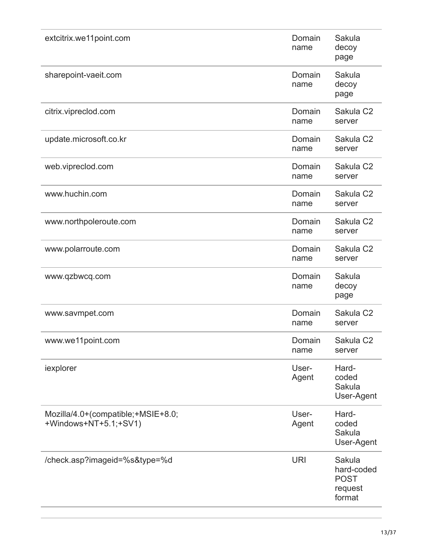| extcitrix.we11point.com                                     | Domain<br>name | Sakula<br>decoy<br>page                                  |
|-------------------------------------------------------------|----------------|----------------------------------------------------------|
| sharepoint-vaeit.com                                        | Domain<br>name | Sakula<br>decoy<br>page                                  |
| citrix.vipreclod.com                                        | Domain<br>name | Sakula C <sub>2</sub><br>server                          |
| update.microsoft.co.kr                                      | Domain<br>name | Sakula C <sub>2</sub><br>server                          |
| web.vipreclod.com                                           | Domain<br>name | Sakula C <sub>2</sub><br>server                          |
| www.huchin.com                                              | Domain<br>name | Sakula C <sub>2</sub><br>server                          |
| www.northpoleroute.com                                      | Domain<br>name | Sakula C <sub>2</sub><br>server                          |
| www.polarroute.com                                          | Domain<br>name | Sakula C <sub>2</sub><br>server                          |
| www.qzbwcq.com                                              | Domain<br>name | Sakula<br>decoy<br>page                                  |
| www.savmpet.com                                             | Domain<br>name | Sakula C <sub>2</sub><br>server                          |
| www.we11point.com                                           | Domain<br>name | Sakula C <sub>2</sub><br>server                          |
| iexplorer                                                   | User-<br>Agent | Hard-<br>coded<br>Sakula<br>User-Agent                   |
| Mozilla/4.0+(compatible;+MSIE+8.0;<br>+Windows+NT+5.1;+SV1) | User-<br>Agent | Hard-<br>coded<br>Sakula<br>User-Agent                   |
| /check.asp?imageid=%s&type=%d                               | <b>URI</b>     | Sakula<br>hard-coded<br><b>POST</b><br>request<br>format |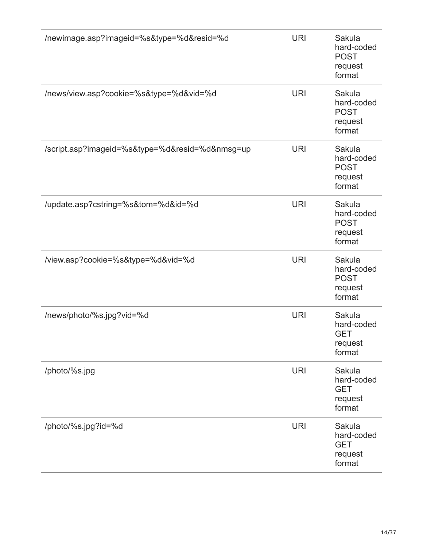| /newimage.asp?imageid=%s&type=%d&resid=%d       | <b>URI</b> | Sakula<br>hard-coded<br><b>POST</b><br>request<br>format |
|-------------------------------------------------|------------|----------------------------------------------------------|
| /news/view.asp?cookie=%s&type=%d&vid=%d         | <b>URI</b> | Sakula<br>hard-coded<br><b>POST</b><br>request<br>format |
| /script.asp?imageid=%s&type=%d&resid=%d&nmsg=up | <b>URI</b> | Sakula<br>hard-coded<br><b>POST</b><br>request<br>format |
| /update.asp?cstring=%s&tom=%d&id=%d             | <b>URI</b> | Sakula<br>hard-coded<br><b>POST</b><br>request<br>format |
| /view.asp?cookie=%s&type=%d&vid=%d              | <b>URI</b> | Sakula<br>hard-coded<br><b>POST</b><br>request<br>format |
| /news/photo/%s.jpg?vid=%d                       | <b>URI</b> | Sakula<br>hard-coded<br><b>GET</b><br>request<br>format  |
| /photo/%s.jpg                                   | <b>URI</b> | Sakula<br>hard-coded<br><b>GET</b><br>request<br>format  |
| /photo/%s.jpg?id=%d                             | <b>URI</b> | Sakula<br>hard-coded<br><b>GET</b><br>request<br>format  |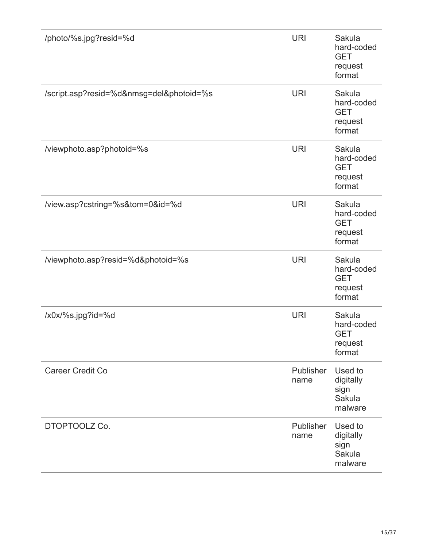| /photo/%s.jpg?resid=%d                   | <b>URI</b>        | Sakula<br>hard-coded<br><b>GET</b><br>request<br>format |
|------------------------------------------|-------------------|---------------------------------------------------------|
| /script.asp?resid=%d&nmsg=del&photoid=%s | <b>URI</b>        | Sakula<br>hard-coded<br><b>GET</b><br>request<br>format |
| /viewphoto.asp?photoid=%s                | <b>URI</b>        | Sakula<br>hard-coded<br><b>GET</b><br>request<br>format |
| /view.asp?cstring=%s&tom=0&id=%d         | <b>URI</b>        | Sakula<br>hard-coded<br><b>GET</b><br>request<br>format |
| /viewphoto.asp?resid=%d&photoid=%s       | <b>URI</b>        | Sakula<br>hard-coded<br><b>GET</b><br>request<br>format |
| /x0x/%s.jpg?id=%d                        | <b>URI</b>        | Sakula<br>hard-coded<br><b>GET</b><br>request<br>format |
| <b>Career Credit Co</b>                  | Publisher<br>name | Used to<br>digitally<br>sign<br>Sakula<br>malware       |
| DTOPTOOLZ Co.                            | Publisher<br>name | Used to<br>digitally<br>sign<br>Sakula<br>malware       |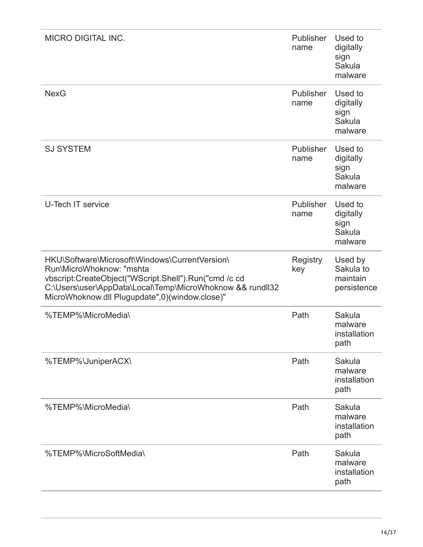| <b>MICRO DIGITAL INC.</b>                                                                                                                                                                                                                          | Publisher<br>name        | Used to<br>digitally<br>sign<br>Sakula<br>malware |
|----------------------------------------------------------------------------------------------------------------------------------------------------------------------------------------------------------------------------------------------------|--------------------------|---------------------------------------------------|
| <b>NexG</b>                                                                                                                                                                                                                                        | <b>Publisher</b><br>name | Used to<br>digitally<br>sign<br>Sakula<br>malware |
| <b>SJ SYSTEM</b>                                                                                                                                                                                                                                   | Publisher<br>name        | Used to<br>digitally<br>sign<br>Sakula<br>malware |
| U-Tech IT service                                                                                                                                                                                                                                  | Publisher<br>name        | Used to<br>digitally<br>sign<br>Sakula<br>malware |
| HKU\Software\Microsoft\Windows\CurrentVersion\<br>Run\MicroWhoknow: "mshta<br>vbscript:CreateObject("WScript.Shell").Run("cmd /c cd<br>C:\Users\user\AppData\Local\Temp\MicroWhoknow && rundll32<br>MicroWhoknow.dll Plugupdate",0)(window.close)" | <b>Registry</b><br>key   | Used by<br>Sakula to<br>maintain<br>persistence   |
| %TEMP%\MicroMedia\                                                                                                                                                                                                                                 | Path                     | Sakula<br>malware<br>installation<br>path         |
| %TEMP%\JuniperACX\                                                                                                                                                                                                                                 | Path                     | Sakula<br>malware<br>installation<br>path         |
| %TEMP%\MicroMedia\                                                                                                                                                                                                                                 | Path                     | Sakula<br>malware<br>installation<br>path         |
| %TEMP%\MicroSoftMedia\                                                                                                                                                                                                                             | Path                     | Sakula<br>malware<br>installation<br>path         |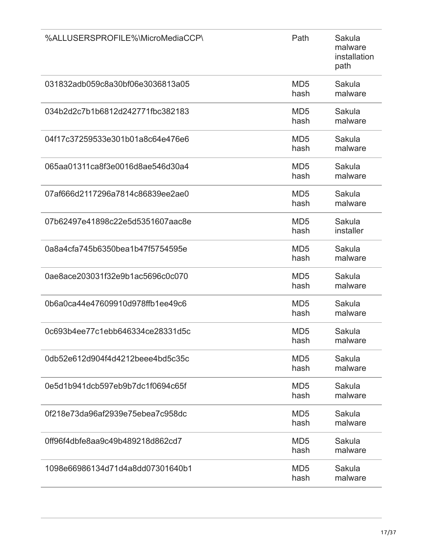| %ALLUSERSPROFILE%\MicroMediaCCP\ | Path                    | Sakula<br>malware<br>installation<br>path |
|----------------------------------|-------------------------|-------------------------------------------|
| 031832adb059c8a30bf06e3036813a05 | MD <sub>5</sub><br>hash | Sakula<br>malware                         |
| 034b2d2c7b1b6812d242771fbc382183 | MD <sub>5</sub><br>hash | Sakula<br>malware                         |
| 04f17c37259533e301b01a8c64e476e6 | MD <sub>5</sub><br>hash | Sakula<br>malware                         |
| 065aa01311ca8f3e0016d8ae546d30a4 | MD <sub>5</sub><br>hash | Sakula<br>malware                         |
| 07af666d2117296a7814c86839ee2ae0 | MD <sub>5</sub><br>hash | Sakula<br>malware                         |
| 07b62497e41898c22e5d5351607aac8e | MD <sub>5</sub><br>hash | Sakula<br>installer                       |
| 0a8a4cfa745b6350bea1b47f5754595e | MD <sub>5</sub><br>hash | Sakula<br>malware                         |
| 0ae8ace203031f32e9b1ac5696c0c070 | MD <sub>5</sub><br>hash | Sakula<br>malware                         |
| 0b6a0ca44e47609910d978ffb1ee49c6 | MD <sub>5</sub><br>hash | Sakula<br>malware                         |
| 0c693b4ee77c1ebb646334ce28331d5c | MD <sub>5</sub><br>hash | Sakula<br>malware                         |
| 0db52e612d904f4d4212beee4bd5c35c | MD <sub>5</sub><br>hash | Sakula<br>malware                         |
| 0e5d1b941dcb597eb9b7dc1f0694c65f | MD <sub>5</sub><br>hash | Sakula<br>malware                         |
| 0f218e73da96af2939e75ebea7c958dc | MD <sub>5</sub><br>hash | Sakula<br>malware                         |
| 0ff96f4dbfe8aa9c49b489218d862cd7 | MD <sub>5</sub><br>hash | Sakula<br>malware                         |
| 1098e66986134d71d4a8dd07301640b1 | MD <sub>5</sub><br>hash | Sakula<br>malware                         |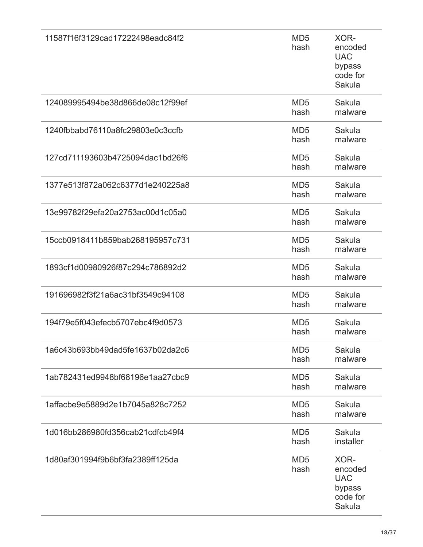| 11587f16f3129cad17222498eadc84f2 | MD <sub>5</sub><br>hash | XOR-<br>encoded<br><b>UAC</b><br>bypass<br>code for<br>Sakula |
|----------------------------------|-------------------------|---------------------------------------------------------------|
| 124089995494be38d866de08c12f99ef | MD <sub>5</sub><br>hash | Sakula<br>malware                                             |
| 1240fbbabd76110a8fc29803e0c3ccfb | MD <sub>5</sub><br>hash | Sakula<br>malware                                             |
| 127cd711193603b4725094dac1bd26f6 | MD <sub>5</sub><br>hash | Sakula<br>malware                                             |
| 1377e513f872a062c6377d1e240225a8 | MD <sub>5</sub><br>hash | Sakula<br>malware                                             |
| 13e99782f29efa20a2753ac00d1c05a0 | MD <sub>5</sub><br>hash | Sakula<br>malware                                             |
| 15ccb0918411b859bab268195957c731 | MD <sub>5</sub><br>hash | Sakula<br>malware                                             |
| 1893cf1d00980926f87c294c786892d2 | MD <sub>5</sub><br>hash | Sakula<br>malware                                             |
| 191696982f3f21a6ac31bf3549c94108 | MD <sub>5</sub><br>hash | Sakula<br>malware                                             |
| 194f79e5f043efecb5707ebc4f9d0573 | MD <sub>5</sub><br>hash | Sakula<br>malware                                             |
| 1a6c43b693bb49dad5fe1637b02da2c6 | MD <sub>5</sub><br>hash | Sakula<br>malware                                             |
| 1ab782431ed9948bf68196e1aa27cbc9 | MD <sub>5</sub><br>hash | Sakula<br>malware                                             |
| 1affacbe9e5889d2e1b7045a828c7252 | MD <sub>5</sub><br>hash | Sakula<br>malware                                             |
| 1d016bb286980fd356cab21cdfcb49f4 | MD <sub>5</sub><br>hash | Sakula<br>installer                                           |
| 1d80af301994f9b6bf3fa2389ff125da | MD <sub>5</sub><br>hash | XOR-<br>encoded<br><b>UAC</b><br>bypass<br>code for<br>Sakula |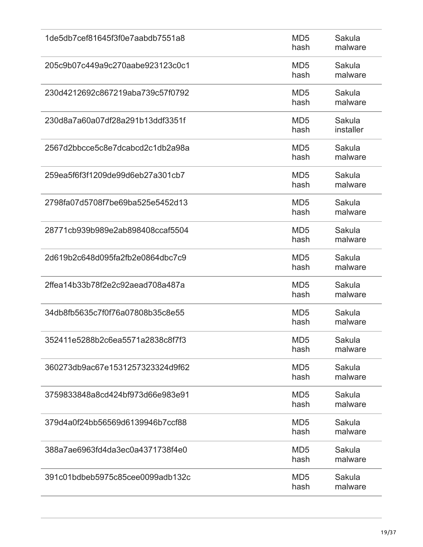| 1de5db7cef81645f3f0e7aabdb7551a8 | MD <sub>5</sub><br>hash | Sakula<br>malware   |
|----------------------------------|-------------------------|---------------------|
| 205c9b07c449a9c270aabe923123c0c1 | MD <sub>5</sub><br>hash | Sakula<br>malware   |
| 230d4212692c867219aba739c57f0792 | MD <sub>5</sub><br>hash | Sakula<br>malware   |
| 230d8a7a60a07df28a291b13ddf3351f | MD <sub>5</sub><br>hash | Sakula<br>installer |
| 2567d2bbcce5c8e7dcabcd2c1db2a98a | MD <sub>5</sub><br>hash | Sakula<br>malware   |
| 259ea5f6f3f1209de99d6eb27a301cb7 | MD <sub>5</sub><br>hash | Sakula<br>malware   |
| 2798fa07d5708f7be69ba525e5452d13 | MD <sub>5</sub><br>hash | Sakula<br>malware   |
| 28771cb939b989e2ab898408ccaf5504 | MD <sub>5</sub><br>hash | Sakula<br>malware   |
| 2d619b2c648d095fa2fb2e0864dbc7c9 | MD <sub>5</sub><br>hash | Sakula<br>malware   |
| 2ffea14b33b78f2e2c92aead708a487a | MD <sub>5</sub><br>hash | Sakula<br>malware   |
| 34db8fb5635c7f0f76a07808b35c8e55 | MD <sub>5</sub><br>hash | Sakula<br>malware   |
| 352411e5288b2c6ea5571a2838c8f7f3 | MD <sub>5</sub><br>hash | Sakula<br>malware   |
| 360273db9ac67e1531257323324d9f62 | MD <sub>5</sub><br>hash | Sakula<br>malware   |
| 3759833848a8cd424bf973d66e983e91 | MD <sub>5</sub><br>hash | Sakula<br>malware   |
| 379d4a0f24bb56569d6139946b7ccf88 | MD <sub>5</sub><br>hash | Sakula<br>malware   |
| 388a7ae6963fd4da3ec0a4371738f4e0 | MD <sub>5</sub><br>hash | Sakula<br>malware   |
| 391c01bdbeb5975c85cee0099adb132c | MD <sub>5</sub><br>hash | Sakula<br>malware   |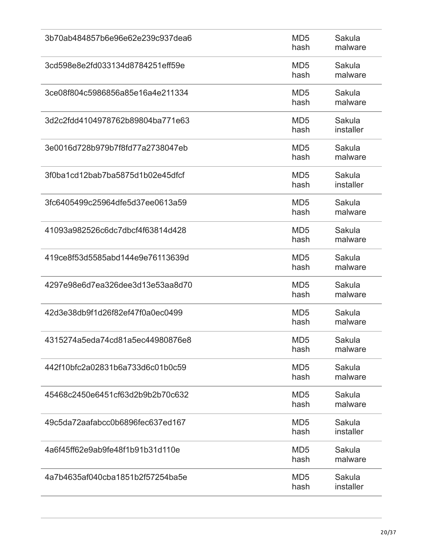| 3b70ab484857b6e96e62e239c937dea6 | MD <sub>5</sub><br>hash | Sakula<br>malware   |
|----------------------------------|-------------------------|---------------------|
| 3cd598e8e2fd033134d8784251eff59e | MD <sub>5</sub><br>hash | Sakula<br>malware   |
| 3ce08f804c5986856a85e16a4e211334 | MD <sub>5</sub><br>hash | Sakula<br>malware   |
| 3d2c2fdd4104978762b89804ba771e63 | MD <sub>5</sub><br>hash | Sakula<br>installer |
| 3e0016d728b979b7f8fd77a2738047eb | MD <sub>5</sub><br>hash | Sakula<br>malware   |
| 3f0ba1cd12bab7ba5875d1b02e45dfcf | MD <sub>5</sub><br>hash | Sakula<br>installer |
| 3fc6405499c25964dfe5d37ee0613a59 | MD <sub>5</sub><br>hash | Sakula<br>malware   |
| 41093a982526c6dc7dbcf4f63814d428 | MD <sub>5</sub><br>hash | Sakula<br>malware   |
| 419ce8f53d5585abd144e9e76113639d | MD <sub>5</sub><br>hash | Sakula<br>malware   |
| 4297e98e6d7ea326dee3d13e53aa8d70 | MD <sub>5</sub><br>hash | Sakula<br>malware   |
| 42d3e38db9f1d26f82ef47f0a0ec0499 | MD <sub>5</sub><br>hash | Sakula<br>malware   |
| 4315274a5eda74cd81a5ec44980876e8 | MD <sub>5</sub><br>hash | Sakula<br>malware   |
| 442f10bfc2a02831b6a733d6c01b0c59 | MD <sub>5</sub><br>hash | Sakula<br>malware   |
| 45468c2450e6451cf63d2b9b2b70c632 | MD <sub>5</sub><br>hash | Sakula<br>malware   |
| 49c5da72aafabcc0b6896fec637ed167 | MD <sub>5</sub><br>hash | Sakula<br>installer |
| 4a6f45ff62e9ab9fe48f1b91b31d110e | MD <sub>5</sub><br>hash | Sakula<br>malware   |
| 4a7b4635af040cba1851b2f57254ba5e | MD <sub>5</sub><br>hash | Sakula<br>installer |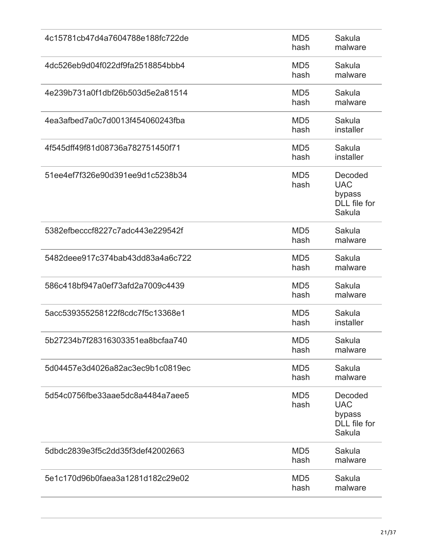| 4c15781cb47d4a7604788e188fc722de | MD <sub>5</sub><br>hash | Sakula<br>malware                                         |
|----------------------------------|-------------------------|-----------------------------------------------------------|
| 4dc526eb9d04f022df9fa2518854bbb4 | MD <sub>5</sub><br>hash | Sakula<br>malware                                         |
| 4e239b731a0f1dbf26b503d5e2a81514 | MD <sub>5</sub><br>hash | Sakula<br>malware                                         |
| 4ea3afbed7a0c7d0013f454060243fba | MD <sub>5</sub><br>hash | Sakula<br>installer                                       |
| 4f545dff49f81d08736a782751450f71 | MD <sub>5</sub><br>hash | Sakula<br>installer                                       |
| 51ee4ef7f326e90d391ee9d1c5238b34 | MD <sub>5</sub><br>hash | Decoded<br><b>UAC</b><br>bypass<br>DLL file for<br>Sakula |
| 5382efbecccf8227c7adc443e229542f | MD <sub>5</sub><br>hash | Sakula<br>malware                                         |
| 5482deee917c374bab43dd83a4a6c722 | MD <sub>5</sub><br>hash | Sakula<br>malware                                         |
| 586c418bf947a0ef73afd2a7009c4439 | MD <sub>5</sub><br>hash | Sakula<br>malware                                         |
| 5acc539355258122f8cdc7f5c13368e1 | MD <sub>5</sub><br>hash | Sakula<br>installer                                       |
| 5b27234b7f28316303351ea8bcfaa740 | MD <sub>5</sub><br>hash | Sakula<br>malware                                         |
| 5d04457e3d4026a82ac3ec9b1c0819ec | MD <sub>5</sub><br>hash | Sakula<br>malware                                         |
| 5d54c0756fbe33aae5dc8a4484a7aee5 | MD <sub>5</sub><br>hash | Decoded<br><b>UAC</b><br>bypass<br>DLL file for<br>Sakula |
| 5dbdc2839e3f5c2dd35f3def42002663 | MD <sub>5</sub><br>hash | Sakula<br>malware                                         |
| 5e1c170d96b0faea3a1281d182c29e02 | MD <sub>5</sub><br>hash | Sakula<br>malware                                         |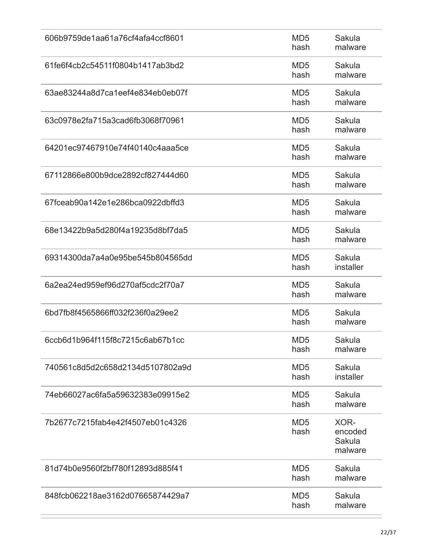| 606b9759de1aa61a76cf4afa4ccf8601 | MD <sub>5</sub><br>hash | Sakula<br>malware                    |
|----------------------------------|-------------------------|--------------------------------------|
| 61fe6f4cb2c54511f0804b1417ab3bd2 | MD <sub>5</sub><br>hash | Sakula<br>malware                    |
| 63ae83244a8d7ca1eef4e834eb0eb07f | MD <sub>5</sub><br>hash | Sakula<br>malware                    |
| 63c0978e2fa715a3cad6fb3068f70961 | MD <sub>5</sub><br>hash | Sakula<br>malware                    |
| 64201ec97467910e74f40140c4aaa5ce | MD <sub>5</sub><br>hash | Sakula<br>malware                    |
| 67112866e800b9dce2892cf827444d60 | MD <sub>5</sub><br>hash | Sakula<br>malware                    |
| 67fceab90a142e1e286bca0922dbffd3 | MD <sub>5</sub><br>hash | Sakula<br>malware                    |
| 68e13422b9a5d280f4a19235d8bf7da5 | MD <sub>5</sub><br>hash | Sakula<br>malware                    |
| 69314300da7a4a0e95be545b804565dd | MD <sub>5</sub><br>hash | Sakula<br>installer                  |
| 6a2ea24ed959ef96d270af5cdc2f70a7 | MD <sub>5</sub><br>hash | Sakula<br>malware                    |
| 6bd7fb8f4565866ff032f236f0a29ee2 | MD <sub>5</sub><br>hash | Sakula<br>malware                    |
| 6ccb6d1b964f115f8c7215c6ab67b1cc | MD <sub>5</sub><br>hash | Sakula<br>malware                    |
| 740561c8d5d2c658d2134d5107802a9d | MD <sub>5</sub><br>hash | Sakula<br>installer                  |
| 74eb66027ac6fa5a59632383e09915e2 | MD <sub>5</sub><br>hash | Sakula<br>malware                    |
| 7b2677c7215fab4e42f4507eb01c4326 | MD <sub>5</sub><br>hash | XOR-<br>encoded<br>Sakula<br>malware |
| 81d74b0e9560f2bf780f12893d885f41 | MD <sub>5</sub><br>hash | Sakula<br>malware                    |
| 848fcb062218ae3162d07665874429a7 | MD <sub>5</sub><br>hash | Sakula<br>malware                    |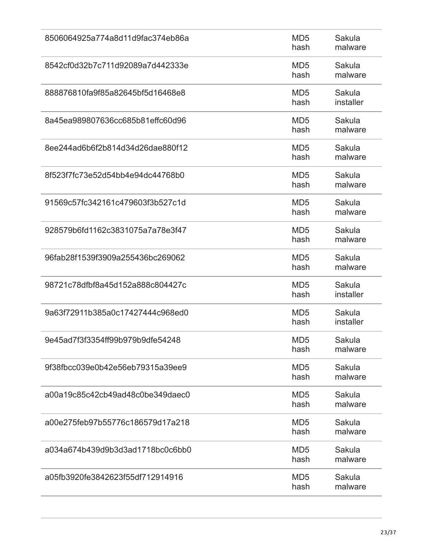| 8506064925a774a8d11d9fac374eb86a | MD <sub>5</sub><br>hash | Sakula<br>malware   |
|----------------------------------|-------------------------|---------------------|
| 8542cf0d32b7c711d92089a7d442333e | MD <sub>5</sub><br>hash | Sakula<br>malware   |
| 888876810fa9f85a82645bf5d16468e8 | MD <sub>5</sub><br>hash | Sakula<br>installer |
| 8a45ea989807636cc685b81effc60d96 | MD <sub>5</sub><br>hash | Sakula<br>malware   |
| 8ee244ad6b6f2b814d34d26dae880f12 | MD <sub>5</sub><br>hash | Sakula<br>malware   |
| 8f523f7fc73e52d54bb4e94dc44768b0 | MD <sub>5</sub><br>hash | Sakula<br>malware   |
| 91569c57fc342161c479603f3b527c1d | MD <sub>5</sub><br>hash | Sakula<br>malware   |
| 928579b6fd1162c3831075a7a78e3f47 | MD <sub>5</sub><br>hash | Sakula<br>malware   |
| 96fab28f1539f3909a255436bc269062 | MD <sub>5</sub><br>hash | Sakula<br>malware   |
| 98721c78dfbf8a45d152a888c804427c | MD <sub>5</sub><br>hash | Sakula<br>installer |
| 9a63f72911b385a0c17427444c968ed0 | MD <sub>5</sub><br>hash | Sakula<br>installer |
| 9e45ad7f3f3354ff99b979b9dfe54248 | MD <sub>5</sub><br>hash | Sakula<br>malware   |
| 9f38fbcc039e0b42e56eb79315a39ee9 | MD <sub>5</sub><br>hash | Sakula<br>malware   |
| a00a19c85c42cb49ad48c0be349daec0 | MD <sub>5</sub><br>hash | Sakula<br>malware   |
| a00e275feb97b55776c186579d17a218 | MD <sub>5</sub><br>hash | Sakula<br>malware   |
| a034a674b439d9b3d3ad1718bc0c6bb0 | MD <sub>5</sub><br>hash | Sakula<br>malware   |
| a05fb3920fe3842623f55df712914916 | MD <sub>5</sub><br>hash | Sakula<br>malware   |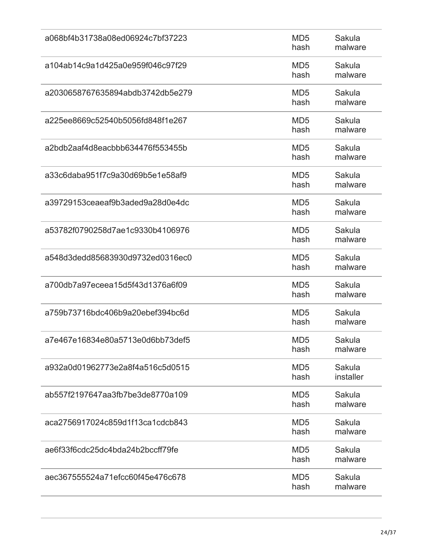| a068bf4b31738a08ed06924c7bf37223 | MD <sub>5</sub><br>hash | Sakula<br>malware   |
|----------------------------------|-------------------------|---------------------|
| a104ab14c9a1d425a0e959f046c97f29 | MD <sub>5</sub><br>hash | Sakula<br>malware   |
| a2030658767635894abdb3742db5e279 | MD <sub>5</sub><br>hash | Sakula<br>malware   |
| a225ee8669c52540b5056fd848f1e267 | MD <sub>5</sub><br>hash | Sakula<br>malware   |
| a2bdb2aaf4d8eacbbb634476f553455b | MD <sub>5</sub><br>hash | Sakula<br>malware   |
| a33c6daba951f7c9a30d69b5e1e58af9 | MD <sub>5</sub><br>hash | Sakula<br>malware   |
| a39729153ceaeaf9b3aded9a28d0e4dc | MD <sub>5</sub><br>hash | Sakula<br>malware   |
| a53782f0790258d7ae1c9330b4106976 | MD <sub>5</sub><br>hash | Sakula<br>malware   |
| a548d3dedd85683930d9732ed0316ec0 | MD <sub>5</sub><br>hash | Sakula<br>malware   |
| a700db7a97eceea15d5f43d1376a6f09 | MD <sub>5</sub><br>hash | Sakula<br>malware   |
| a759b73716bdc406b9a20ebef394bc6d | MD <sub>5</sub><br>hash | Sakula<br>malware   |
| a7e467e16834e80a5713e0d6bb73def5 | MD <sub>5</sub><br>hash | Sakula<br>malware   |
| a932a0d01962773e2a8f4a516c5d0515 | MD <sub>5</sub><br>hash | Sakula<br>installer |
| ab557f2197647aa3fb7be3de8770a109 | MD <sub>5</sub><br>hash | Sakula<br>malware   |
| aca2756917024c859d1f13ca1cdcb843 | MD <sub>5</sub><br>hash | Sakula<br>malware   |
| ae6f33f6cdc25dc4bda24b2bccff79fe | MD <sub>5</sub><br>hash | Sakula<br>malware   |
| aec367555524a71efcc60f45e476c678 | MD <sub>5</sub><br>hash | Sakula<br>malware   |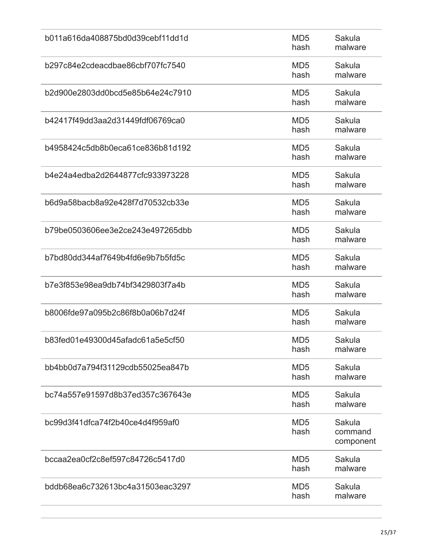| b011a616da408875bd0d39cebf11dd1d | MD <sub>5</sub><br>hash | Sakula<br>malware              |
|----------------------------------|-------------------------|--------------------------------|
| b297c84e2cdeacdbae86cbf707fc7540 | MD <sub>5</sub><br>hash | Sakula<br>malware              |
| b2d900e2803dd0bcd5e85b64e24c7910 | MD <sub>5</sub><br>hash | Sakula<br>malware              |
| b42417f49dd3aa2d31449fdf06769ca0 | MD <sub>5</sub><br>hash | Sakula<br>malware              |
| b4958424c5db8b0eca61ce836b81d192 | MD <sub>5</sub><br>hash | Sakula<br>malware              |
| b4e24a4edba2d2644877cfc933973228 | MD <sub>5</sub><br>hash | Sakula<br>malware              |
| b6d9a58bacb8a92e428f7d70532cb33e | MD <sub>5</sub><br>hash | Sakula<br>malware              |
| b79be0503606ee3e2ce243e497265dbb | MD <sub>5</sub><br>hash | Sakula<br>malware              |
| b7bd80dd344af7649b4fd6e9b7b5fd5c | MD <sub>5</sub><br>hash | Sakula<br>malware              |
| b7e3f853e98ea9db74bf3429803f7a4b | MD <sub>5</sub><br>hash | Sakula<br>malware              |
| b8006fde97a095b2c86f8b0a06b7d24f | MD <sub>5</sub><br>hash | Sakula<br>malware              |
| b83fed01e49300d45afadc61a5e5cf50 | MD <sub>5</sub><br>hash | Sakula<br>malware              |
| bb4bb0d7a794f31129cdb55025ea847b | MD <sub>5</sub><br>hash | Sakula<br>malware              |
| bc74a557e91597d8b37ed357c367643e | MD <sub>5</sub><br>hash | Sakula<br>malware              |
| bc99d3f41dfca74f2b40ce4d4f959af0 | MD <sub>5</sub><br>hash | Sakula<br>command<br>component |
| bccaa2ea0cf2c8ef597c84726c5417d0 | MD <sub>5</sub><br>hash | Sakula<br>malware              |
| bddb68ea6c732613bc4a31503eac3297 | MD <sub>5</sub><br>hash | Sakula<br>malware              |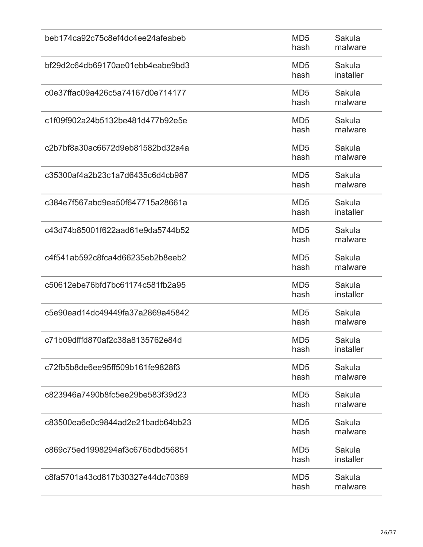| beb174ca92c75c8ef4dc4ee24afeabeb | MD <sub>5</sub><br>hash | Sakula<br>malware   |
|----------------------------------|-------------------------|---------------------|
| bf29d2c64db69170ae01ebb4eabe9bd3 | MD <sub>5</sub><br>hash | Sakula<br>installer |
| c0e37ffac09a426c5a74167d0e714177 | MD <sub>5</sub><br>hash | Sakula<br>malware   |
| c1f09f902a24b5132be481d477b92e5e | MD <sub>5</sub><br>hash | Sakula<br>malware   |
| c2b7bf8a30ac6672d9eb81582bd32a4a | MD <sub>5</sub><br>hash | Sakula<br>malware   |
| c35300af4a2b23c1a7d6435c6d4cb987 | MD <sub>5</sub><br>hash | Sakula<br>malware   |
| c384e7f567abd9ea50f647715a28661a | MD <sub>5</sub><br>hash | Sakula<br>installer |
| c43d74b85001f622aad61e9da5744b52 | MD <sub>5</sub><br>hash | Sakula<br>malware   |
| c4f541ab592c8fca4d66235eb2b8eeb2 | MD <sub>5</sub><br>hash | Sakula<br>malware   |
| c50612ebe76bfd7bc61174c581fb2a95 | MD <sub>5</sub><br>hash | Sakula<br>installer |
| c5e90ead14dc49449fa37a2869a45842 | MD <sub>5</sub><br>hash | Sakula<br>malware   |
| c71b09dfffd870af2c38a8135762e84d | MD <sub>5</sub><br>hash | Sakula<br>installer |
| c72fb5b8de6ee95ff509b161fe9828f3 | MD <sub>5</sub><br>hash | Sakula<br>malware   |
| c823946a7490b8fc5ee29be583f39d23 | MD <sub>5</sub><br>hash | Sakula<br>malware   |
| c83500ea6e0c9844ad2e21badb64bb23 | MD <sub>5</sub><br>hash | Sakula<br>malware   |
| c869c75ed1998294af3c676bdbd56851 | MD <sub>5</sub><br>hash | Sakula<br>installer |
| c8fa5701a43cd817b30327e44dc70369 | MD <sub>5</sub><br>hash | Sakula<br>malware   |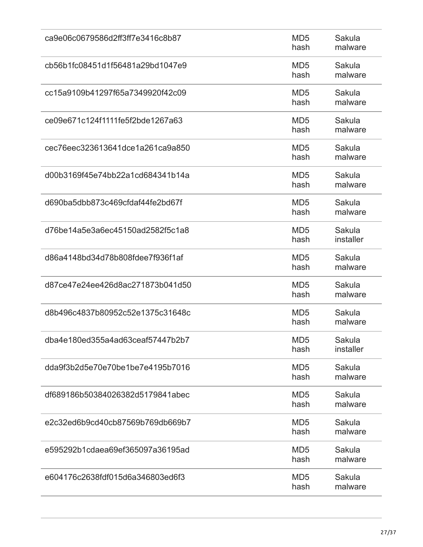| ca9e06c0679586d2ff3ff7e3416c8b87 | MD <sub>5</sub><br>hash | Sakula<br>malware   |
|----------------------------------|-------------------------|---------------------|
| cb56b1fc08451d1f56481a29bd1047e9 | MD <sub>5</sub><br>hash | Sakula<br>malware   |
| cc15a9109b41297f65a7349920f42c09 | MD <sub>5</sub><br>hash | Sakula<br>malware   |
| ce09e671c124f1111fe5f2bde1267a63 | MD <sub>5</sub><br>hash | Sakula<br>malware   |
| cec76eec323613641dce1a261ca9a850 | MD <sub>5</sub><br>hash | Sakula<br>malware   |
| d00b3169f45e74bb22a1cd684341b14a | MD <sub>5</sub><br>hash | Sakula<br>malware   |
| d690ba5dbb873c469cfdaf44fe2bd67f | MD <sub>5</sub><br>hash | Sakula<br>malware   |
| d76be14a5e3a6ec45150ad2582f5c1a8 | MD <sub>5</sub><br>hash | Sakula<br>installer |
| d86a4148bd34d78b808fdee7f936f1af | MD <sub>5</sub><br>hash | Sakula<br>malware   |
| d87ce47e24ee426d8ac271873b041d50 | MD <sub>5</sub><br>hash | Sakula<br>malware   |
| d8b496c4837b80952c52e1375c31648c | MD <sub>5</sub><br>hash | Sakula<br>malware   |
| dba4e180ed355a4ad63ceaf57447b2b7 | MD <sub>5</sub><br>hash | Sakula<br>installer |
| dda9f3b2d5e70e70be1be7e4195b7016 | MD <sub>5</sub><br>hash | Sakula<br>malware   |
| df689186b50384026382d5179841abec | MD <sub>5</sub><br>hash | Sakula<br>malware   |
| e2c32ed6b9cd40cb87569b769db669b7 | MD <sub>5</sub><br>hash | Sakula<br>malware   |
| e595292b1cdaea69ef365097a36195ad | MD <sub>5</sub><br>hash | Sakula<br>malware   |
| e604176c2638fdf015d6a346803ed6f3 | MD <sub>5</sub><br>hash | Sakula<br>malware   |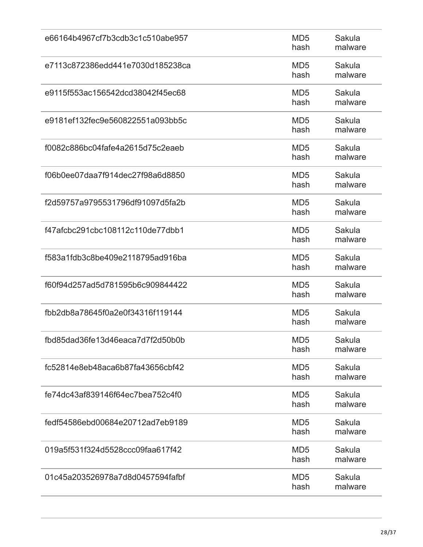| e66164b4967cf7b3cdb3c1c510abe957 | MD <sub>5</sub><br>hash | Sakula<br>malware |
|----------------------------------|-------------------------|-------------------|
| e7113c872386edd441e7030d185238ca | MD <sub>5</sub><br>hash | Sakula<br>malware |
| e9115f553ac156542dcd38042f45ec68 | MD <sub>5</sub><br>hash | Sakula<br>malware |
| e9181ef132fec9e560822551a093bb5c | MD <sub>5</sub><br>hash | Sakula<br>malware |
| f0082c886bc04fafe4a2615d75c2eaeb | MD <sub>5</sub><br>hash | Sakula<br>malware |
| f06b0ee07daa7f914dec27f98a6d8850 | MD <sub>5</sub><br>hash | Sakula<br>malware |
| f2d59757a9795531796df91097d5fa2b | MD <sub>5</sub><br>hash | Sakula<br>malware |
| f47afcbc291cbc108112c110de77dbb1 | MD <sub>5</sub><br>hash | Sakula<br>malware |
| f583a1fdb3c8be409e2118795ad916ba | MD <sub>5</sub><br>hash | Sakula<br>malware |
| f60f94d257ad5d781595b6c909844422 | MD <sub>5</sub><br>hash | Sakula<br>malware |
| fbb2db8a78645f0a2e0f34316f119144 | MD <sub>5</sub><br>hash | Sakula<br>malware |
| fbd85dad36fe13d46eaca7d7f2d50b0b | MD <sub>5</sub><br>hash | Sakula<br>malware |
| fc52814e8eb48aca6b87fa43656cbf42 | MD <sub>5</sub><br>hash | Sakula<br>malware |
| fe74dc43af839146f64ec7bea752c4f0 | MD <sub>5</sub><br>hash | Sakula<br>malware |
| fedf54586ebd00684e20712ad7eb9189 | MD <sub>5</sub><br>hash | Sakula<br>malware |
| 019a5f531f324d5528ccc09faa617f42 | MD <sub>5</sub><br>hash | Sakula<br>malware |
| 01c45a203526978a7d8d0457594fafbf | MD <sub>5</sub><br>hash | Sakula<br>malware |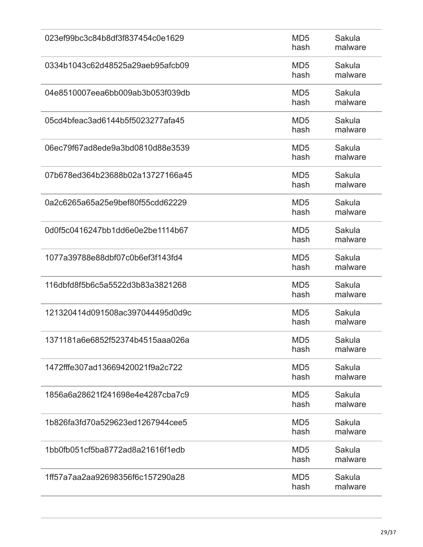| 023ef99bc3c84b8df3f837454c0e1629 | MD <sub>5</sub><br>hash | Sakula<br>malware |
|----------------------------------|-------------------------|-------------------|
| 0334b1043c62d48525a29aeb95afcb09 | MD <sub>5</sub><br>hash | Sakula<br>malware |
| 04e8510007eea6bb009ab3b053f039db | MD <sub>5</sub><br>hash | Sakula<br>malware |
| 05cd4bfeac3ad6144b5f5023277afa45 | MD <sub>5</sub><br>hash | Sakula<br>malware |
| 06ec79f67ad8ede9a3bd0810d88e3539 | MD <sub>5</sub><br>hash | Sakula<br>malware |
| 07b678ed364b23688b02a13727166a45 | MD <sub>5</sub><br>hash | Sakula<br>malware |
| 0a2c6265a65a25e9bef80f55cdd62229 | MD <sub>5</sub><br>hash | Sakula<br>malware |
| 0d0f5c0416247bb1dd6e0e2be1114b67 | MD <sub>5</sub><br>hash | Sakula<br>malware |
| 1077a39788e88dbf07c0b6ef3f143fd4 | MD <sub>5</sub><br>hash | Sakula<br>malware |
| 116dbfd8f5b6c5a5522d3b83a3821268 | MD <sub>5</sub><br>hash | Sakula<br>malware |
| 121320414d091508ac397044495d0d9c | MD <sub>5</sub><br>hash | Sakula<br>malware |
| 1371181a6e6852f52374b4515aaa026a | MD <sub>5</sub><br>hash | Sakula<br>malware |
| 1472fffe307ad13669420021f9a2c722 | MD <sub>5</sub><br>hash | Sakula<br>malware |
| 1856a6a28621f241698e4e4287cba7c9 | MD <sub>5</sub><br>hash | Sakula<br>malware |
| 1b826fa3fd70a529623ed1267944cee5 | MD <sub>5</sub><br>hash | Sakula<br>malware |
| 1bb0fb051cf5ba8772ad8a21616f1edb | MD <sub>5</sub><br>hash | Sakula<br>malware |
| 1ff57a7aa2aa92698356f6c157290a28 | MD <sub>5</sub><br>hash | Sakula<br>malware |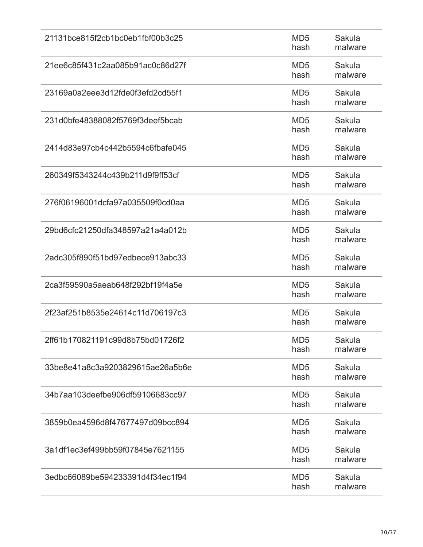| 21131bce815f2cb1bc0eb1fbf00b3c25 | MD <sub>5</sub><br>hash | Sakula<br>malware |
|----------------------------------|-------------------------|-------------------|
| 21ee6c85f431c2aa085b91ac0c86d27f | MD <sub>5</sub><br>hash | Sakula<br>malware |
| 23169a0a2eee3d12fde0f3efd2cd55f1 | MD <sub>5</sub><br>hash | Sakula<br>malware |
| 231d0bfe48388082f5769f3deef5bcab | MD <sub>5</sub><br>hash | Sakula<br>malware |
| 2414d83e97cb4c442b5594c6fbafe045 | MD <sub>5</sub><br>hash | Sakula<br>malware |
| 260349f5343244c439b211d9f9ff53cf | MD <sub>5</sub><br>hash | Sakula<br>malware |
| 276f06196001dcfa97a035509f0cd0aa | MD <sub>5</sub><br>hash | Sakula<br>malware |
| 29bd6cfc21250dfa348597a21a4a012b | MD <sub>5</sub><br>hash | Sakula<br>malware |
| 2adc305f890f51bd97edbece913abc33 | MD <sub>5</sub><br>hash | Sakula<br>malware |
| 2ca3f59590a5aeab648f292bf19f4a5e | MD <sub>5</sub><br>hash | Sakula<br>malware |
| 2f23af251b8535e24614c11d706197c3 | MD <sub>5</sub><br>hash | Sakula<br>malware |
| 2ff61b170821191c99d8b75bd01726f2 | MD <sub>5</sub><br>hash | Sakula<br>malware |
| 33be8e41a8c3a9203829615ae26a5b6e | MD <sub>5</sub><br>hash | Sakula<br>malware |
| 34b7aa103deefbe906df59106683cc97 | MD <sub>5</sub><br>hash | Sakula<br>malware |
| 3859b0ea4596d8f47677497d09bcc894 | MD <sub>5</sub><br>hash | Sakula<br>malware |
| 3a1df1ec3ef499bb59f07845e7621155 | MD <sub>5</sub><br>hash | Sakula<br>malware |
| 3edbc66089be594233391d4f34ec1f94 | MD <sub>5</sub><br>hash | Sakula<br>malware |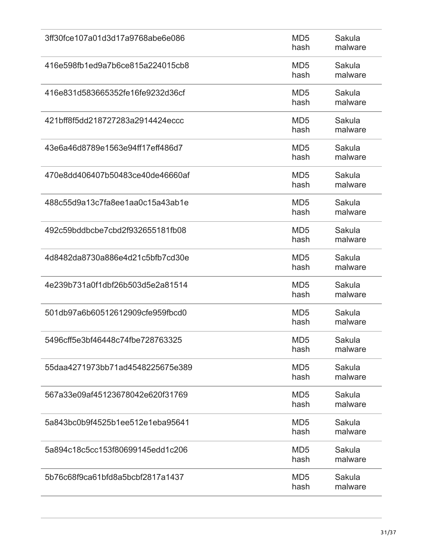| 3ff30fce107a01d3d17a9768abe6e086 | MD <sub>5</sub><br>hash | Sakula<br>malware |
|----------------------------------|-------------------------|-------------------|
| 416e598fb1ed9a7b6ce815a224015cb8 | MD <sub>5</sub><br>hash | Sakula<br>malware |
| 416e831d583665352fe16fe9232d36cf | MD <sub>5</sub><br>hash | Sakula<br>malware |
| 421bff8f5dd218727283a2914424eccc | MD <sub>5</sub><br>hash | Sakula<br>malware |
| 43e6a46d8789e1563e94ff17eff486d7 | MD <sub>5</sub><br>hash | Sakula<br>malware |
| 470e8dd406407b50483ce40de46660af | MD <sub>5</sub><br>hash | Sakula<br>malware |
| 488c55d9a13c7fa8ee1aa0c15a43ab1e | MD <sub>5</sub><br>hash | Sakula<br>malware |
| 492c59bddbcbe7cbd2f932655181fb08 | MD <sub>5</sub><br>hash | Sakula<br>malware |
| 4d8482da8730a886e4d21c5bfb7cd30e | MD <sub>5</sub><br>hash | Sakula<br>malware |
| 4e239b731a0f1dbf26b503d5e2a81514 | MD <sub>5</sub><br>hash | Sakula<br>malware |
| 501db97a6b60512612909cfe959fbcd0 | MD <sub>5</sub><br>hash | Sakula<br>malware |
| 5496cff5e3bf46448c74fbe728763325 | MD <sub>5</sub><br>hash | Sakula<br>malware |
| 55daa4271973bb71ad4548225675e389 | MD <sub>5</sub><br>hash | Sakula<br>malware |
| 567a33e09af45123678042e620f31769 | MD <sub>5</sub><br>hash | Sakula<br>malware |
| 5a843bc0b9f4525b1ee512e1eba95641 | MD <sub>5</sub><br>hash | Sakula<br>malware |
| 5a894c18c5cc153f80699145edd1c206 | MD <sub>5</sub><br>hash | Sakula<br>malware |
| 5b76c68f9ca61bfd8a5bcbf2817a1437 | MD <sub>5</sub><br>hash | Sakula<br>malware |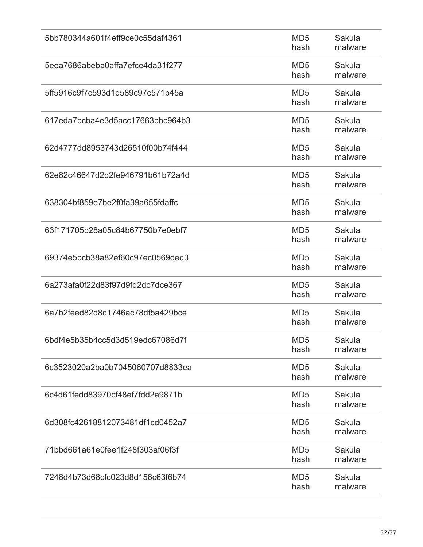| 5bb780344a601f4eff9ce0c55daf4361 | MD <sub>5</sub><br>hash | Sakula<br>malware |
|----------------------------------|-------------------------|-------------------|
| 5eea7686abeba0affa7efce4da31f277 | MD <sub>5</sub><br>hash | Sakula<br>malware |
| 5ff5916c9f7c593d1d589c97c571b45a | MD <sub>5</sub><br>hash | Sakula<br>malware |
| 617eda7bcba4e3d5acc17663bbc964b3 | MD <sub>5</sub><br>hash | Sakula<br>malware |
| 62d4777dd8953743d26510f00b74f444 | MD <sub>5</sub><br>hash | Sakula<br>malware |
| 62e82c46647d2d2fe946791b61b72a4d | MD <sub>5</sub><br>hash | Sakula<br>malware |
| 638304bf859e7be2f0fa39a655fdaffc | MD <sub>5</sub><br>hash | Sakula<br>malware |
| 63f171705b28a05c84b67750b7e0ebf7 | MD <sub>5</sub><br>hash | Sakula<br>malware |
| 69374e5bcb38a82ef60c97ec0569ded3 | MD <sub>5</sub><br>hash | Sakula<br>malware |
| 6a273afa0f22d83f97d9fd2dc7dce367 | MD <sub>5</sub><br>hash | Sakula<br>malware |
| 6a7b2feed82d8d1746ac78df5a429bce | MD <sub>5</sub><br>hash | Sakula<br>malware |
| 6bdf4e5b35b4cc5d3d519edc67086d7f | MD <sub>5</sub><br>hash | Sakula<br>malware |
| 6c3523020a2ba0b7045060707d8833ea | MD <sub>5</sub><br>hash | Sakula<br>malware |
| 6c4d61fedd83970cf48ef7fdd2a9871b | MD <sub>5</sub><br>hash | Sakula<br>malware |
| 6d308fc42618812073481df1cd0452a7 | MD <sub>5</sub><br>hash | Sakula<br>malware |
| 71bbd661a61e0fee1f248f303af06f3f | MD <sub>5</sub><br>hash | Sakula<br>malware |
| 7248d4b73d68cfc023d8d156c63f6b74 | MD <sub>5</sub><br>hash | Sakula<br>malware |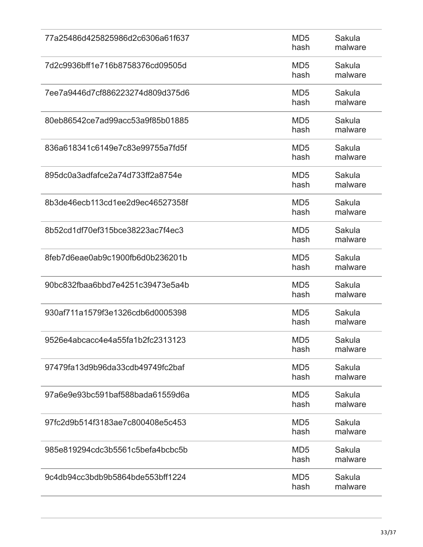| 77a25486d425825986d2c6306a61f637 | MD <sub>5</sub><br>hash | Sakula<br>malware |
|----------------------------------|-------------------------|-------------------|
| 7d2c9936bff1e716b8758376cd09505d | MD <sub>5</sub><br>hash | Sakula<br>malware |
| 7ee7a9446d7cf886223274d809d375d6 | MD <sub>5</sub><br>hash | Sakula<br>malware |
| 80eb86542ce7ad99acc53a9f85b01885 | MD <sub>5</sub><br>hash | Sakula<br>malware |
| 836a618341c6149e7c83e99755a7fd5f | MD <sub>5</sub><br>hash | Sakula<br>malware |
| 895dc0a3adfafce2a74d733ff2a8754e | MD <sub>5</sub><br>hash | Sakula<br>malware |
| 8b3de46ecb113cd1ee2d9ec46527358f | MD <sub>5</sub><br>hash | Sakula<br>malware |
| 8b52cd1df70ef315bce38223ac7f4ec3 | MD <sub>5</sub><br>hash | Sakula<br>malware |
| 8feb7d6eae0ab9c1900fb6d0b236201b | MD <sub>5</sub><br>hash | Sakula<br>malware |
| 90bc832fbaa6bbd7e4251c39473e5a4b | MD <sub>5</sub><br>hash | Sakula<br>malware |
| 930af711a1579f3e1326cdb6d0005398 | MD <sub>5</sub><br>hash | Sakula<br>malware |
| 9526e4abcacc4e4a55fa1b2fc2313123 | MD <sub>5</sub><br>hash | Sakula<br>malware |
| 97479fa13d9b96da33cdb49749fc2baf | MD <sub>5</sub><br>hash | Sakula<br>malware |
| 97a6e9e93bc591baf588bada61559d6a | MD <sub>5</sub><br>hash | Sakula<br>malware |
| 97fc2d9b514f3183ae7c800408e5c453 | MD <sub>5</sub><br>hash | Sakula<br>malware |
| 985e819294cdc3b5561c5befa4bcbc5b | MD <sub>5</sub><br>hash | Sakula<br>malware |
| 9c4db94cc3bdb9b5864bde553bff1224 | MD <sub>5</sub><br>hash | Sakula<br>malware |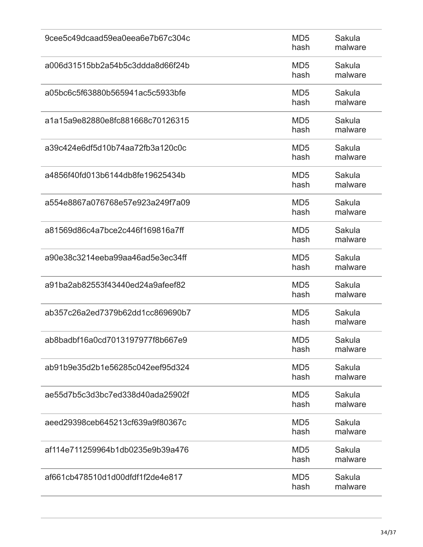| 9cee5c49dcaad59ea0eea6e7b67c304c | MD <sub>5</sub><br>hash | Sakula<br>malware |
|----------------------------------|-------------------------|-------------------|
| a006d31515bb2a54b5c3ddda8d66f24b | MD <sub>5</sub><br>hash | Sakula<br>malware |
| a05bc6c5f63880b565941ac5c5933bfe | MD <sub>5</sub><br>hash | Sakula<br>malware |
| a1a15a9e82880e8fc881668c70126315 | MD <sub>5</sub><br>hash | Sakula<br>malware |
| a39c424e6df5d10b74aa72fb3a120c0c | MD <sub>5</sub><br>hash | Sakula<br>malware |
| a4856f40fd013b6144db8fe19625434b | MD <sub>5</sub><br>hash | Sakula<br>malware |
| a554e8867a076768e57e923a249f7a09 | MD <sub>5</sub><br>hash | Sakula<br>malware |
| a81569d86c4a7bce2c446f169816a7ff | MD <sub>5</sub><br>hash | Sakula<br>malware |
| a90e38c3214eeba99aa46ad5e3ec34ff | MD <sub>5</sub><br>hash | Sakula<br>malware |
| a91ba2ab82553f43440ed24a9afeef82 | MD <sub>5</sub><br>hash | Sakula<br>malware |
| ab357c26a2ed7379b62dd1cc869690b7 | MD <sub>5</sub><br>hash | Sakula<br>malware |
| ab8badbf16a0cd7013197977f8b667e9 | MD <sub>5</sub><br>hash | Sakula<br>malware |
| ab91b9e35d2b1e56285c042eef95d324 | MD <sub>5</sub><br>hash | Sakula<br>malware |
| ae55d7b5c3d3bc7ed338d40ada25902f | MD <sub>5</sub><br>hash | Sakula<br>malware |
| aeed29398ceb645213cf639a9f80367c | MD <sub>5</sub><br>hash | Sakula<br>malware |
| af114e711259964b1db0235e9b39a476 | MD <sub>5</sub><br>hash | Sakula<br>malware |
| af661cb478510d1d00dfdf1f2de4e817 | MD <sub>5</sub><br>hash | Sakula<br>malware |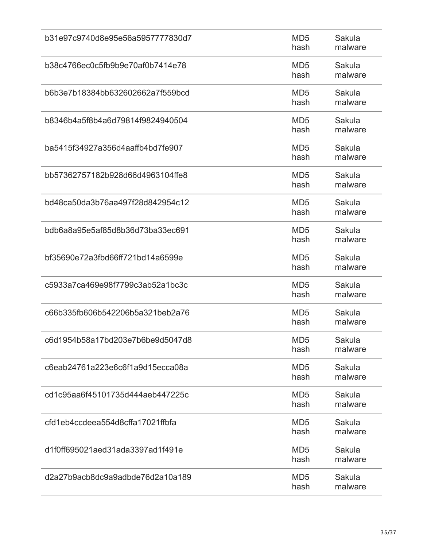| b31e97c9740d8e95e56a5957777830d7 | MD <sub>5</sub><br>hash | Sakula<br>malware |
|----------------------------------|-------------------------|-------------------|
| b38c4766ec0c5fb9b9e70af0b7414e78 | MD <sub>5</sub><br>hash | Sakula<br>malware |
| b6b3e7b18384bb632602662a7f559bcd | MD <sub>5</sub><br>hash | Sakula<br>malware |
| b8346b4a5f8b4a6d79814f9824940504 | MD <sub>5</sub><br>hash | Sakula<br>malware |
| ba5415f34927a356d4aaffb4bd7fe907 | MD <sub>5</sub><br>hash | Sakula<br>malware |
| bb57362757182b928d66d4963104ffe8 | MD <sub>5</sub><br>hash | Sakula<br>malware |
| bd48ca50da3b76aa497f28d842954c12 | MD <sub>5</sub><br>hash | Sakula<br>malware |
| bdb6a8a95e5af85d8b36d73ba33ec691 | MD <sub>5</sub><br>hash | Sakula<br>malware |
| bf35690e72a3fbd66ff721bd14a6599e | MD <sub>5</sub><br>hash | Sakula<br>malware |
| c5933a7ca469e98f7799c3ab52a1bc3c | MD <sub>5</sub><br>hash | Sakula<br>malware |
| c66b335fb606b542206b5a321beb2a76 | MD <sub>5</sub><br>hash | Sakula<br>malware |
| c6d1954b58a17bd203e7b6be9d5047d8 | MD <sub>5</sub><br>hash | Sakula<br>malware |
| c6eab24761a223e6c6f1a9d15ecca08a | MD <sub>5</sub><br>hash | Sakula<br>malware |
| cd1c95aa6f45101735d444aeb447225c | MD <sub>5</sub><br>hash | Sakula<br>malware |
| cfd1eb4ccdeea554d8cffa17021ffbfa | MD <sub>5</sub><br>hash | Sakula<br>malware |
| d1f0ff695021aed31ada3397ad1f491e | MD <sub>5</sub><br>hash | Sakula<br>malware |
| d2a27b9acb8dc9a9adbde76d2a10a189 | MD <sub>5</sub><br>hash | Sakula<br>malware |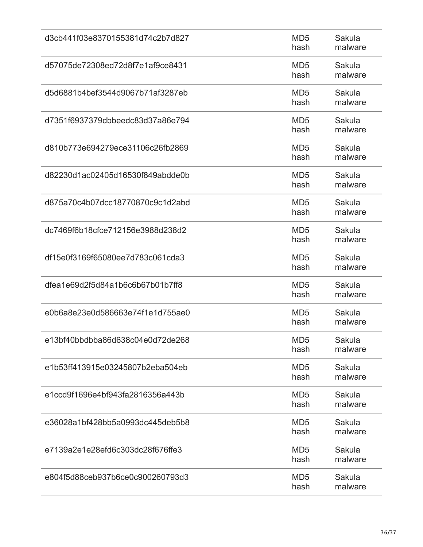| d3cb441f03e8370155381d74c2b7d827 | MD <sub>5</sub><br>hash | Sakula<br>malware |
|----------------------------------|-------------------------|-------------------|
| d57075de72308ed72d8f7e1af9ce8431 | MD <sub>5</sub><br>hash | Sakula<br>malware |
| d5d6881b4bef3544d9067b71af3287eb | MD <sub>5</sub><br>hash | Sakula<br>malware |
| d7351f6937379dbbeedc83d37a86e794 | MD <sub>5</sub><br>hash | Sakula<br>malware |
| d810b773e694279ece31106c26fb2869 | MD <sub>5</sub><br>hash | Sakula<br>malware |
| d82230d1ac02405d16530f849abdde0b | MD <sub>5</sub><br>hash | Sakula<br>malware |
| d875a70c4b07dcc18770870c9c1d2abd | MD <sub>5</sub><br>hash | Sakula<br>malware |
| dc7469f6b18cfce712156e3988d238d2 | MD <sub>5</sub><br>hash | Sakula<br>malware |
| df15e0f3169f65080ee7d783c061cda3 | MD <sub>5</sub><br>hash | Sakula<br>malware |
| dfea1e69d2f5d84a1b6c6b67b01b7ff8 | MD <sub>5</sub><br>hash | Sakula<br>malware |
| e0b6a8e23e0d586663e74f1e1d755ae0 | MD <sub>5</sub><br>hash | Sakula<br>malware |
| e13bf40bbdbba86d638c04e0d72de268 | MD <sub>5</sub><br>hash | Sakula<br>malware |
| e1b53ff413915e03245807b2eba504eb | MD <sub>5</sub><br>hash | Sakula<br>malware |
| e1ccd9f1696e4bf943fa2816356a443b | MD <sub>5</sub><br>hash | Sakula<br>malware |
| e36028a1bf428bb5a0993dc445deb5b8 | MD <sub>5</sub><br>hash | Sakula<br>malware |
| e7139a2e1e28efd6c303dc28f676ffe3 | MD <sub>5</sub><br>hash | Sakula<br>malware |
| e804f5d88ceb937b6ce0c900260793d3 | MD <sub>5</sub><br>hash | Sakula<br>malware |